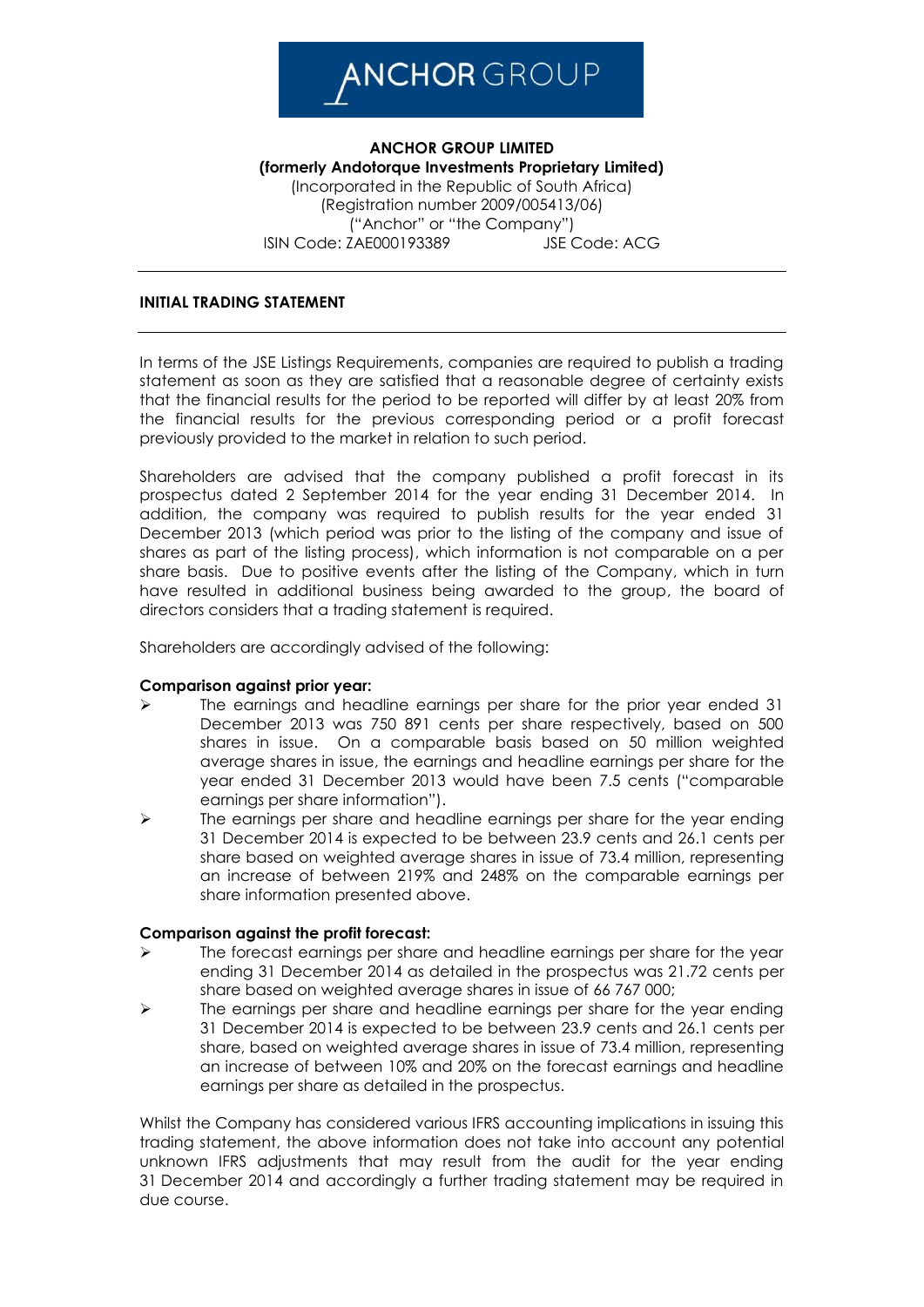## **ANCHOR** GROUP

**ANCHOR GROUP LIMITED (formerly Andotorque Investments Proprietary Limited)** (Incorporated in the Republic of South Africa) (Registration number 2009/005413/06) ("Anchor" or "the Company") ISIN Code: ZAE000193389 JSE Code: ACG

## **INITIAL TRADING STATEMENT**

In terms of the JSE Listings Requirements, companies are required to publish a trading statement as soon as they are satisfied that a reasonable degree of certainty exists that the financial results for the period to be reported will differ by at least 20% from the financial results for the previous corresponding period or a profit forecast previously provided to the market in relation to such period.

Shareholders are advised that the company published a profit forecast in its prospectus dated 2 September 2014 for the year ending 31 December 2014. In addition, the company was required to publish results for the year ended 31 December 2013 (which period was prior to the listing of the company and issue of shares as part of the listing process), which information is not comparable on a per share basis. Due to positive events after the listing of the Company, which in turn have resulted in additional business being awarded to the group, the board of directors considers that a trading statement is required.

Shareholders are accordingly advised of the following:

## **Comparison against prior year:**

- $\triangleright$  The earnings and headline earnings per share for the prior year ended 31 December 2013 was 750 891 cents per share respectively, based on 500 shares in issue. On a comparable basis based on 50 million weighted average shares in issue, the earnings and headline earnings per share for the year ended 31 December 2013 would have been 7.5 cents ("comparable earnings per share information").
- $\triangleright$  The earnings per share and headline earnings per share for the year ending 31 December 2014 is expected to be between 23.9 cents and 26.1 cents per share based on weighted average shares in issue of 73.4 million, representing an increase of between 219% and 248% on the comparable earnings per share information presented above.

## **Comparison against the profit forecast:**

- The forecast earnings per share and headline earnings per share for the year ending 31 December 2014 as detailed in the prospectus was 21.72 cents per share based on weighted average shares in issue of 66 767 000;
- $\triangleright$  The earnings per share and headline earnings per share for the year ending 31 December 2014 is expected to be between 23.9 cents and 26.1 cents per share, based on weighted average shares in issue of 73.4 million, representing an increase of between 10% and 20% on the forecast earnings and headline earnings per share as detailed in the prospectus.

Whilst the Company has considered various IFRS accounting implications in issuing this trading statement, the above information does not take into account any potential unknown IFRS adjustments that may result from the audit for the year ending 31 December 2014 and accordingly a further trading statement may be required in due course.